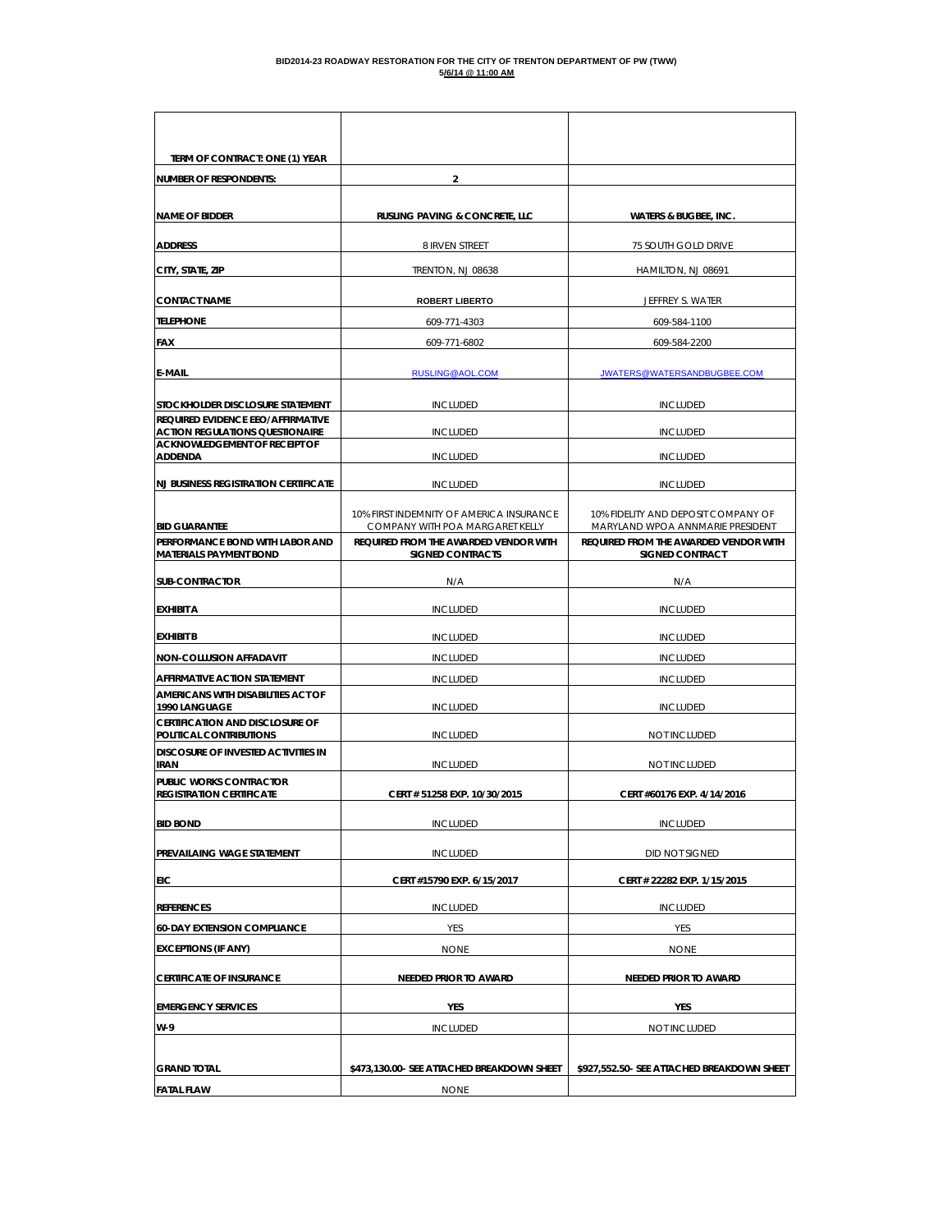| TERM OF CONTRACT: ONE (1) YEAR                                                 |                                                                          |                                                                           |
|--------------------------------------------------------------------------------|--------------------------------------------------------------------------|---------------------------------------------------------------------------|
| <b>NUMBER OF RESPONDENTS:</b>                                                  | 2                                                                        |                                                                           |
| <b>NAME OF BIDDER</b>                                                          | <b>RUSLING PAVING &amp; CONCRETE, LLC</b>                                | <b>WATERS &amp; BUGBEE, INC.</b>                                          |
| <b>ADDRESS</b>                                                                 | 8 IRVEN STREET                                                           | 75 SOUTH GOLD DRIVE                                                       |
| CITY, STATE, ZIP                                                               | TRENTON, NJ 08638                                                        | HAMILTON, NJ 08691                                                        |
| <b>CONTACT NAME</b>                                                            | <b>ROBERT LIBERTO</b>                                                    | JEFFREY S. WATER                                                          |
| <b>TELEPHONE</b>                                                               | 609-771-4303                                                             | 609-584-1100                                                              |
| <b>FAX</b>                                                                     | 609-771-6802                                                             | 609-584-2200                                                              |
| <b>E-MAIL</b>                                                                  | RUSLING@AOL.COM                                                          | JWATERS@WATERSANDBUGBEE.COM                                               |
|                                                                                |                                                                          |                                                                           |
| STOCKHOLDER DISCLOSURE STATEMENT<br>REQUIRED EVIDENCE EEO/AFFIRMATIVE          | <b>INCLUDED</b>                                                          | <b>INCLUDED</b>                                                           |
| <b>ACTION REGULATIONS QUESTIONAIRE</b><br><b>ACKNOWLEDGEMENT OF RECEIPT OF</b> | <b>INCLUDED</b>                                                          | <b>INCLUDED</b>                                                           |
| <b>ADDENDA</b>                                                                 | <b>INCLUDED</b>                                                          | <b>INCLUDED</b>                                                           |
| <b>NJ BUSINESS REGISTRATION CERTIFICATE</b>                                    | <b>INCLUDED</b>                                                          | <b>INCLUDED</b>                                                           |
|                                                                                | 10% FIRST INDEMNITY OF AMERICA INSURANCE                                 | 10% FIDELITY AND DEPOSIT COMPANY OF                                       |
| <b>BID GUARANTEE</b><br>PERFORMANCE BOND WITH LABOR AND                        | COMPANY WITH POA MARGARET KELLY<br>REQUIRED FROM THE AWARDED VENDOR WITH | MARYLAND WPOA ANNMARIE PRESIDENT<br>REQUIRED FROM THE AWARDED VENDOR WITH |
| <b>MATERIALS PAYMENT BOND</b>                                                  | <b>SIGNED CONTRACTS</b>                                                  | <b>SIGNED CONTRACT</b>                                                    |
| <b>SUB-CONTRACTOR</b>                                                          | N/A                                                                      | N/A                                                                       |
| <b>EXHIBIT A</b>                                                               | <b>INCLUDED</b>                                                          | <b>INCLUDED</b>                                                           |
| <b>EXHIBIT B</b>                                                               | <b>INCLUDED</b>                                                          | <b>INCLUDED</b>                                                           |
| NON-COLLUSION AFFADAVIT                                                        | <b>INCLUDED</b>                                                          | <b>INCLUDED</b>                                                           |
| AFFIRMATIVE ACTION STATEMENT                                                   | <b>INCLUDED</b>                                                          | <b>INCLUDED</b>                                                           |
| AMERICANS WITH DISABILITIES ACT OF<br>1990 LANGUAGE                            | <b>INCLUDED</b>                                                          | <b>INCLUDED</b>                                                           |
| <b>CERTIFICATION AND DISCLOSURE OF</b><br>POLITICAL CONTRIBUTIONS              | <b>INCLUDED</b>                                                          | NOT INCLUDED                                                              |
| <b>DISCOSURE OF INVESTED ACTIVITIES IN</b><br>IRAN                             | <b>INCLUDED</b>                                                          | NOT INCLUDED                                                              |
| PUBLIC WORKS CONTRACTOR                                                        |                                                                          |                                                                           |
| <b>REGISTRATION CERTIFICATE</b>                                                | CERT # 51258 EXP. 10/30/2015                                             | CERT #60176 EXP. 4/14/2016                                                |
| <b>BID BOND</b>                                                                | <b>INCLUDED</b>                                                          | <b>INCLUDED</b>                                                           |
| PREVAILAING WAGE STATEMENT                                                     | <b>INCLUDED</b>                                                          | DID NOT SIGNED                                                            |
| EIC                                                                            | CERT #15790 EXP. 6/15/2017                                               | CERT # 22282 EXP. 1/15/2015                                               |
| <b>REFERENCES</b>                                                              | <b>INCLUDED</b>                                                          | <b>INCLUDED</b>                                                           |
| <b>60-DAY EXTENSION COMPLIANCE</b>                                             | YES                                                                      | YES                                                                       |
| <b>EXCEPTIONS (IF ANY)</b>                                                     | <b>NONE</b>                                                              | <b>NONE</b>                                                               |
| <b>CERTIFICATE OF INSURANCE</b>                                                | NEEDED PRIOR TO AWARD                                                    | NEEDED PRIOR TO AWARD                                                     |
| <b>EMERGENCY SERVICES</b>                                                      | YES                                                                      | YES                                                                       |
| W-9                                                                            | <b>INCLUDED</b>                                                          | NOT INCLUDED                                                              |
|                                                                                |                                                                          |                                                                           |
| <b>GRAND TOTAL</b>                                                             | \$473,130.00- SEE ATTACHED BREAKDOWN SHEET                               | \$927,552.50- SEE ATTACHED BREAKDOWN SHEET                                |
| <b>FATAL FLAW</b>                                                              | <b>NONE</b>                                                              |                                                                           |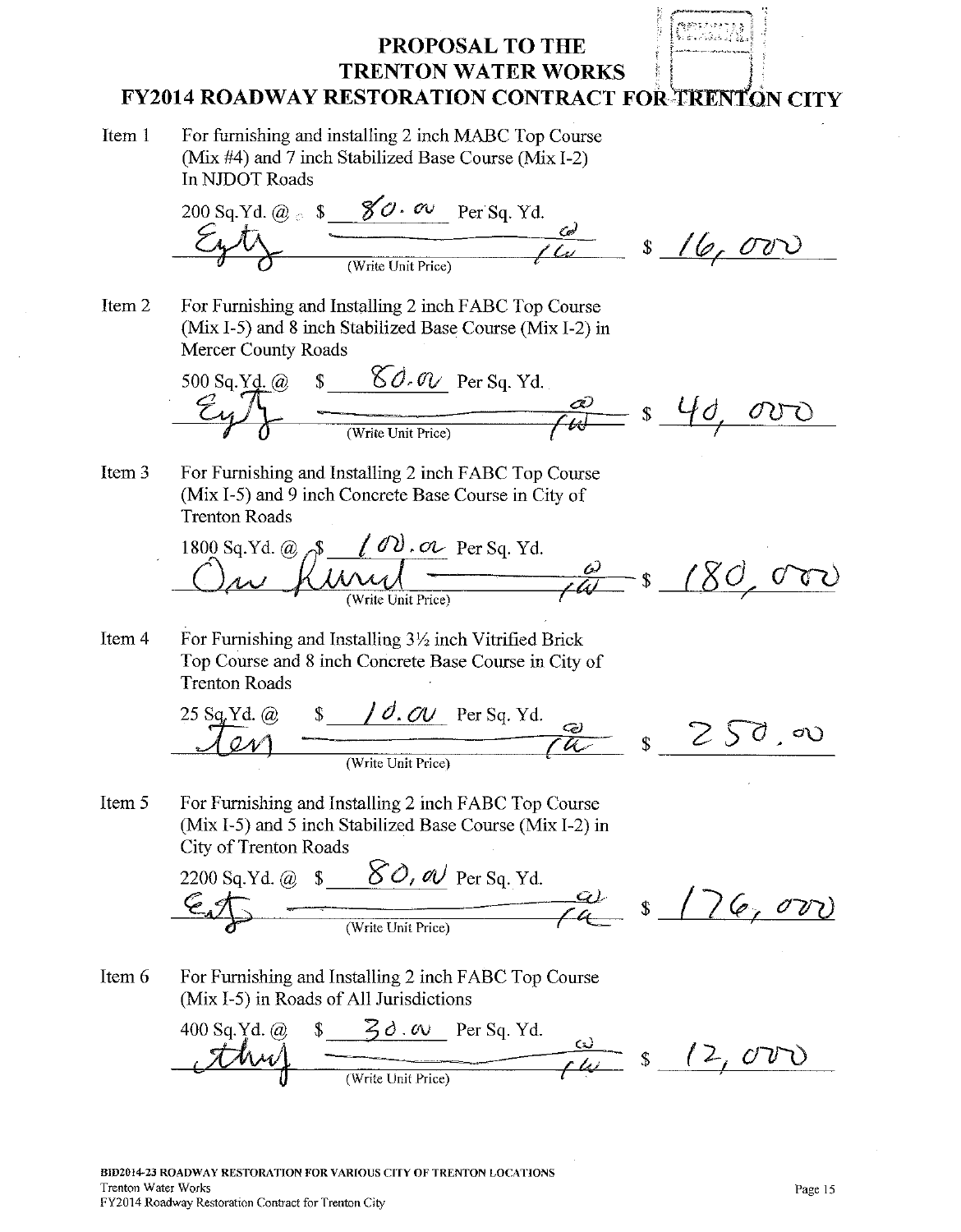#### معربان وجوزة **March Control (B) PROPOSAL TO THE TRENTON WATER WORKS FY2014 ROADWAY RESTORATION CONTRACT FOR TRENTON CITY**

Item 1 For furnishing and installing 2 inch MABC Top Course (Mix #4) and 7 inch Stabilized Base Course (Mix I-2) In NJDOT Roads

200 Sq. Yd. @ s  $\frac{\cancel{80} \cdot \cancel{00} \cdot \cancel{00}}{\cancel{000}}$  Per Sq. Yd.<br>  $\cancel{200}$  Sq. Yd.  $\cancel{000}$  (Write Unit Price)  $\cancel{000}$  S /  $\cancel{0000}$ 

Item 2 For Furnishing and Installing 2 inch FABC Top Course (Mix I-5) and 8 inch Stabilized Base Course (Mix I-2) in **Mercer County Roads** 

(a)  $\frac{\%}{\%}$   $\frac{\%}{\%}$  Per Sq. Yd.<br>  $\frac{a}{\sqrt{b}}$   $\frac{\%}{\%}$   $\frac{\%}{\%}$   $\frac{\%}{\%}$   $\frac{\%}{\%}$ 500 Sq.Yd.  $\omega$ 

Item 3 For Furnishing and Installing 2 inch FABC Top Course (Mix I-5) and 9 inch Concrete Base Course in City of **Trenton Roads** 

@ 8 100.00 Per Sq. Yd. 0 80,000 1800 Sq.Yd.  $\omega$   $\rightarrow$ 

Item 4 For Furnishing and Installing 3½ inch Vitrified Brick Top Course and 8 inch Concrete Base Course in City of **Trenton Roads** 

| (a)<br>$\angle$ 5 Sq. Y | -CA I<br>Per Sq. Yd.<br>$\sigma$ . |  | _______________ |
|-------------------------|------------------------------------|--|-----------------|
|                         | (Write Unit Price)                 |  |                 |

Item 5 For Furnishing and Installing 2 inch FABC Top Course (Mix I-5) and 5 inch Stabilized Base Course (Mix I-2) in City of Trenton Roads

2200 Sq. Yd. @  $\frac{$0, \infty}{$\mathbb{C}$}$  Per Sq. Yd.  $76,00$ 

Item 6 For Furnishing and Installing 2 inch FABC Top Course (Mix I-5) in Roads of All Jurisdictions

 $\frac{\frac{1}{20.00 \text{ N}} \cdot \frac{30.00 \text{ N}}{1000 \text{ N}} \cdot \frac{1}{200}}{\frac{1}{2000 \text{ N}} \cdot \frac{1}{2000 \text{ N}} \cdot \frac{1}{2000 \text{ N}} \cdot \frac{1}{2000 \text{ N}} \cdot \frac{1}{2000 \text{ N}} \cdot \frac{1}{2000 \text{ N}} \cdot \frac{1}{2000 \text{ N}} \cdot \frac{1}{2000 \text{ N}} \cdot \frac{1}{2000 \text{ N}} \cdot \frac{1}{2000 \text{ N}} \cdot \frac{1}{20$  $400$  Sq.Yd.  $\omega$  $(2,00)$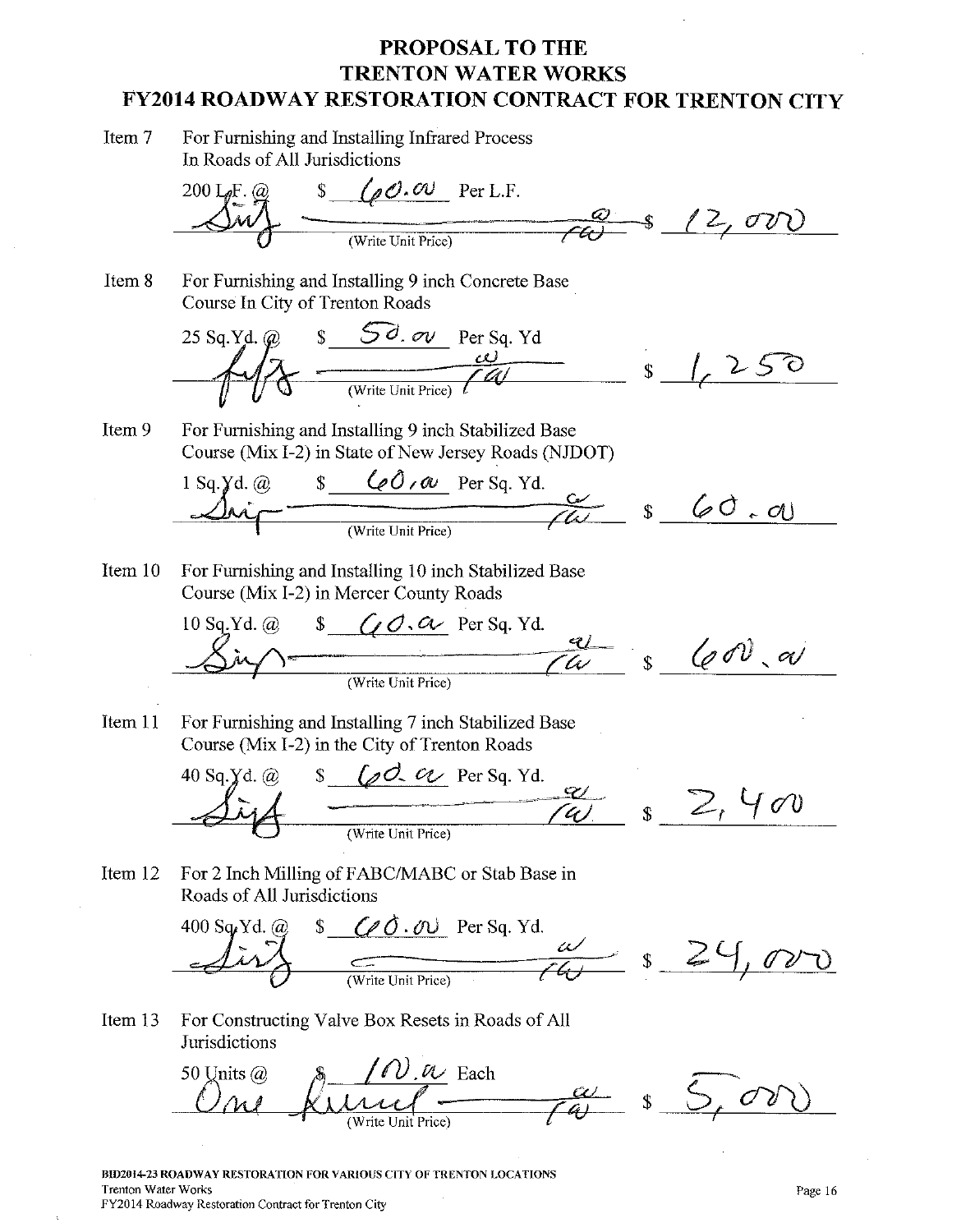Item 7 For Furnishing and Installing Infrared Process In Roads of All Jurisdictions

Item 8

 $\frac{100.00 \text{ Per L.F.}}{\frac{100}{\text{(Write Unit Price)}} \cdot \frac{12}{\text{C}} \cdot \frac{12}{\text{C}} \cdot \frac{12}{\text{C}} \cdot \frac{12}{\text{C}} \cdot \frac{12}{\text{C}} \cdot \frac{12}{\text{C}} \cdot \frac{12}{\text{C}} \cdot \frac{12}{\text{C}} \cdot \frac{12}{\text{C}} \cdot \frac{12}{\text{C}} \cdot \frac{12}{\text{C}} \cdot \frac{12}{\text{C}} \cdot \frac{12}{\text{C}} \cdot \frac{12}{\text{C}} \cdot \frac{1$  $200$  LeF.  $(a)$ For Furnishing and Installing 9 inch Concrete Base Course In City of Trenton Roads

 $s$  50. ov Per Sq. Yd<br>  $\frac{\omega}{\sqrt{\frac{1}{\omega}}}}$   $s$   $\sqrt{250}$ 25 Sq.Yd. @

Item 9 For Furnishing and Installing 9 inch Stabilized Base Course (Mix I-2) in State of New Jersey Roads (NJDOT)

 $1$  Sq.  $\cancel{y}$ d.  $\omega$ 

Item 10 For Furnishing and Installing 10 inch Stabilized Base Course (Mix I-2) in Mercer County Roads

10 Sq.Yd. @ \$ *GO.a* Per Sq. Yd.  $\frac{q}{w}$  s  $\left(\emptyset 0\right)$  a

For Furnishing and Installing 7 inch Stabilized Base Item 11 Course (Mix I-2) in the City of Trenton Roads



Item 12 For 2 Inch Milling of FABC/MABC or Stab Base in Roads of All Jurisdictions



For Constructing Valve Box Resets in Roads of All Item 13 Jurisdictions



BID2014-23 ROADWAY RESTORATION FOR VARIOUS CITY OF TRENTON LOCATIONS **Trenton Water Works** FY2014 Roadway Restoration Contract for Trenton City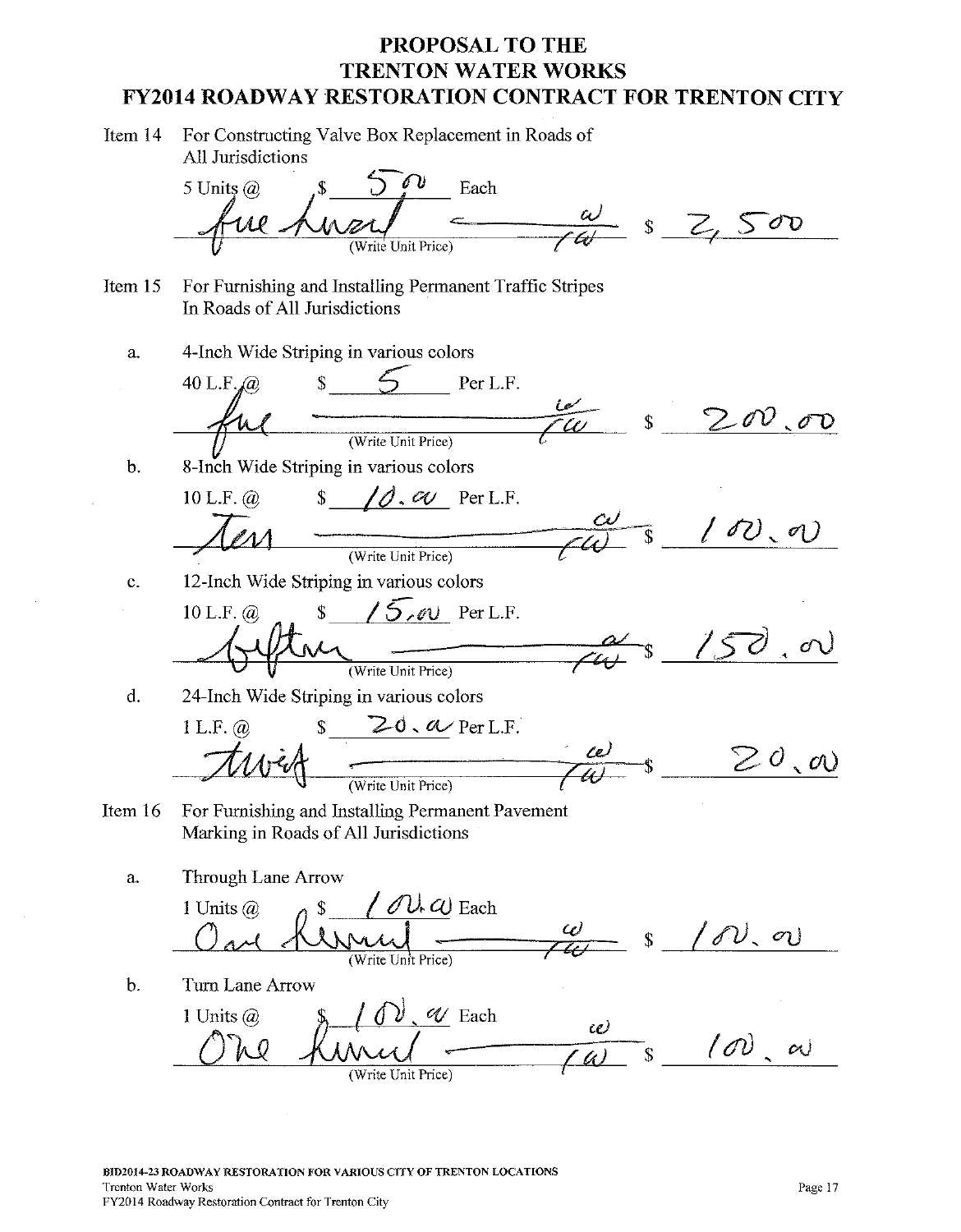| Item 14 For Constructing Valve Box Replacement in Roads of |
|------------------------------------------------------------|
| All Jurisdictions                                          |

Each 5 Units  $\omega$  $sZ,500$ Unit Price For Furnishing and Installing Permanent Traffic Stripes Item 15 In Roads of All Jurisdictions 4-Inch Wide Striping in various colors a.  $\mathbf{S}$  $40$  L.F. $a$ Per L.F. \$  $\sigma$ (Write Unit Price)  $\mathbf b$ . 8-Inch Wide Striping in various colors  $\emptyset$ ,  $\emptyset$  Per L.F.  $10$  L.F.  $\omega$  $\delta \mathcal{O}_{\mathcal{S}}$  $\sigma$ ) (Write Unit Price) 12-Inch Wide Striping in various colors  $\mathbf{C}$ .  $15.0$  Per L.F.  $\hat{\mathbf{r}}$  $10$  L.F.  $\omega$ 150  $\sigma$ ) (Write Unit Price) 24-Inch Wide Striping in various colors d.  $20.0$  Per L.F.  $1 L.F. @.$  $\mathbf{\hat{S}}$  $20, \infty$ (Write Unit Price) Item 16 For Furnishing and Installing Permanent Pavement Marking in Roads of All Jurisdictions Through Lane Arrow a.  $\mathcal{D} \mathcal{L}$   $\omega$  Each 1 Units  $\omega$ W  $'\mathscr{S}\!\mathcal{V},\ \sigma\!\mathcal{V}$  $\mathbf{\hat{S}}$ (Write Unit Price)  $\mathbf b$ . Turn Lane Arrow  $\mathcal{V}$ . *W* Each 1 Units  $\omega$ w  $(0, 0)$  as  $\mathbf{\hat{S}}$ 

(Write Unit Price)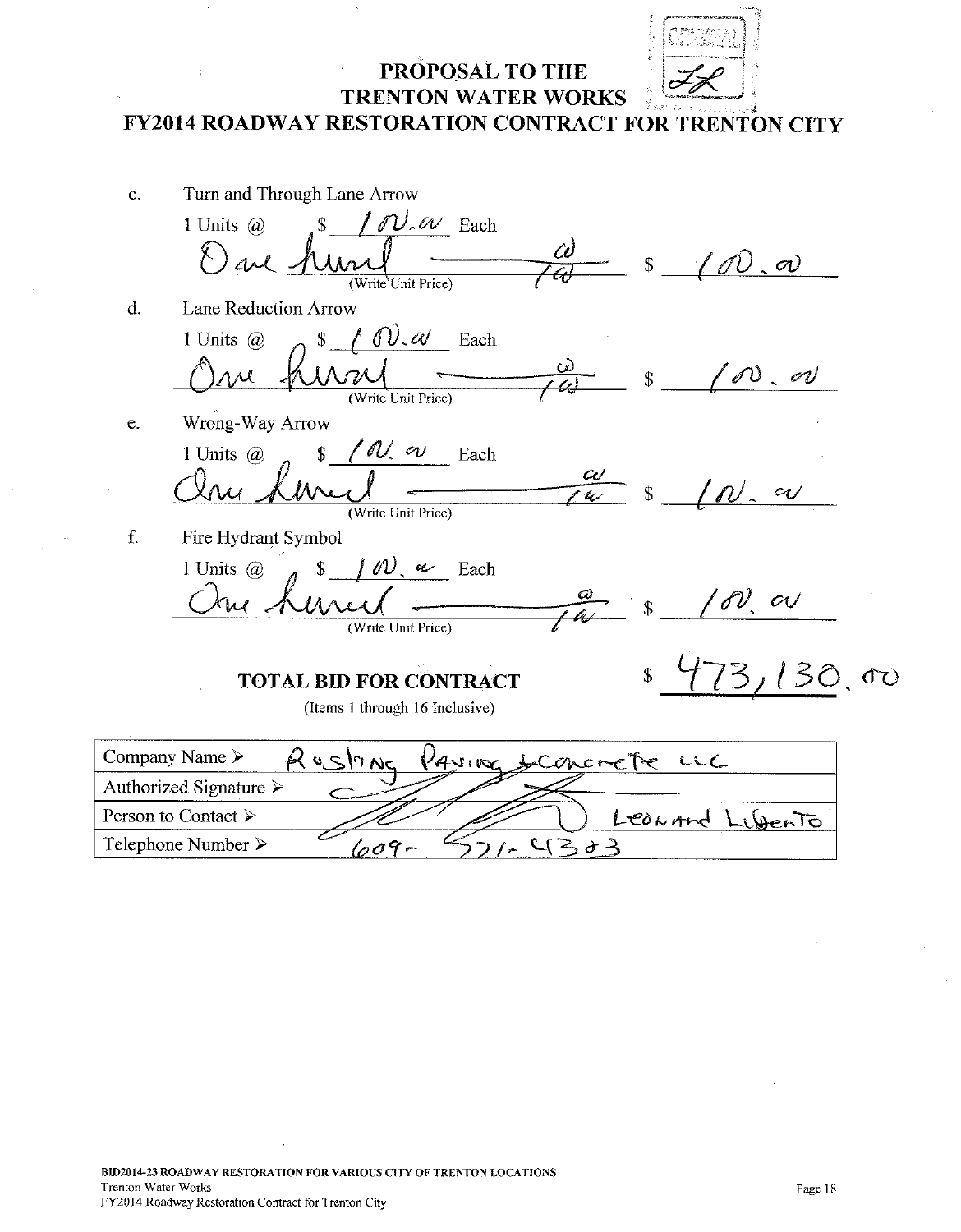PROPOSAL TO THE

Turn and Through Lane Arrow  $\mathbf{c}$ .  $\mathcal{N}$   $\alpha$  Each 1 Units  $\omega$  $\hat{\mathcal{L}}$ Ċı  $\mathcal{V}$  .  $\sigma\mathcal{V}$  $\mathcal{L}$ (Write Unit Price) d. Lane Reduction Arrow  $\omega_{\mathscr{A}}$ 1 Units  $\omega$  $\mathbf{\hat{S}}$ Each  $\omega$  or ЛÎ (Write Unit Price) Wrong-Way Arrow e. ' IV, vi 1 Units  $\omega$  $\hat{\mathbf{r}}$ Each  $\omega$  $c_{U}$ lc (Write Unit Price) Fire Hydrant Symbol f.  $100 \sim$  Each 1 Units  $(a)$  $\mathbf{\hat{S}}$  $\bm{\omega}$  $\omega$  as (Write Unit Price) **OD** \$ **TOTAL BID FOR CONTRACT** (Items 1 through 16 Inclusive) Company Name >  $V_{4}$ vinoz  $R$  usinNe sconcrete  $CC$ Authorized Signature  $\triangleright$ Person to Contact > Leonord JenTo

 $4303$ 

Telephone Number >

609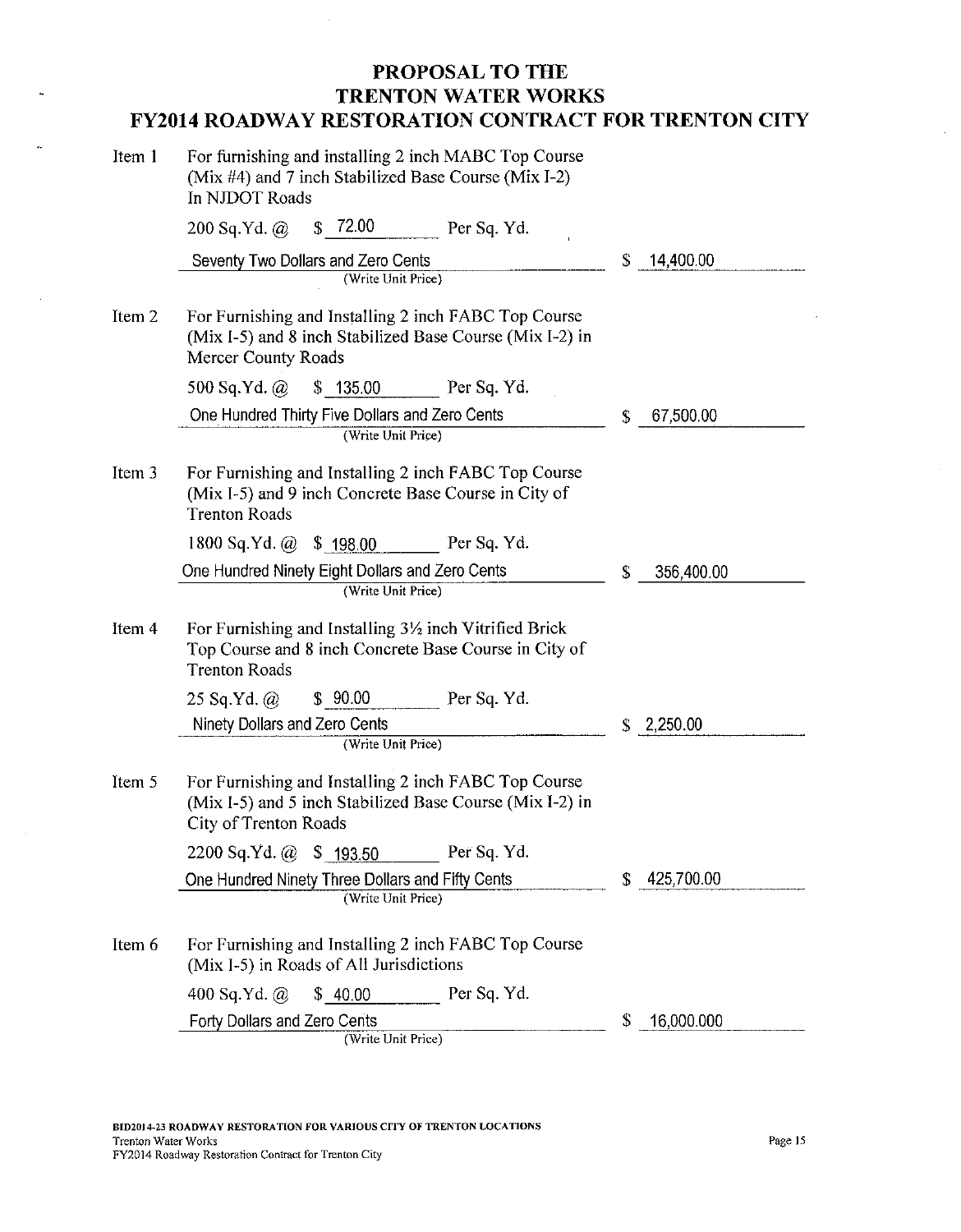$\bar{z}$ 

| Item 1 | For furnishing and installing 2 inch MABC Top Course<br>(Mix #4) and 7 inch Stabilized Base Course (Mix I-2)<br>In NJDOT Roads                     |             |    |            |
|--------|----------------------------------------------------------------------------------------------------------------------------------------------------|-------------|----|------------|
|        | \$72.00<br>$200$ Sq.Yd. $\omega$                                                                                                                   | Per Sq. Yd. |    |            |
|        | Seventy Two Dollars and Zero Cents                                                                                                                 |             | \$ | 14,400.00  |
|        | (Write Unit Price)                                                                                                                                 |             |    |            |
| Item 2 | For Furnishing and Installing 2 inch FABC Top Course<br>(Mix I-5) and 8 inch Stabilized Base Course (Mix I-2) in<br>Mercer County Roads            |             |    |            |
|        | 500 Sq.Yd. $\omega$<br>\$135.00                                                                                                                    | Per Sq. Yd. |    |            |
|        | One Hundred Thirty Five Dollars and Zero Cents                                                                                                     |             | \$ | 67,500.00  |
|        | (Write Unit Price)                                                                                                                                 |             |    |            |
| Item 3 | For Furnishing and Installing 2 inch FABC Top Course<br>(Mix I-5) and 9 inch Concrete Base Course in City of<br><b>Trenton Roads</b>               |             |    |            |
|        | \$198.00<br>1800 Sq.Yd. $@$                                                                                                                        | Per Sq. Yd. |    |            |
|        | One Hundred Ninety Eight Dollars and Zero Cents                                                                                                    |             | S  | 356,400.00 |
|        | (Write Unit Price)                                                                                                                                 |             |    |            |
| Item 4 | For Furnishing and Installing $3\frac{1}{2}$ inch Vitrified Brick<br>Top Course and 8 inch Concrete Base Course in City of<br><b>Trenton Roads</b> |             |    |            |
|        | \$90.00<br>$25$ Sq.Yd. $\omega$                                                                                                                    | Per Sq. Yd. |    |            |
|        | Ninety Dollars and Zero Cents                                                                                                                      |             | \$ | 2,250.00   |
|        | (Write Unit Price)                                                                                                                                 |             |    |            |
| Item 5 | For Furnishing and Installing 2 inch FABC Top Course<br>(Mix I-5) and 5 inch Stabilized Base Course (Mix I-2) in<br>City of Trenton Roads          |             |    |            |
|        | 2200 Sq.Yd. @ \$ 193.50                                                                                                                            | Per Sq. Yd. |    |            |
|        | One Hundred Ninety Three Dollars and Fifty Cents                                                                                                   |             | \$ | 425,700.00 |
|        | (Write Unit Price)                                                                                                                                 |             |    |            |
| Item 6 | For Furnishing and Installing 2 inch FABC Top Course<br>(Mix I-5) in Roads of All Jurisdictions                                                    |             |    |            |
|        | \$40.00<br>400 Sq.Yd. $\omega$                                                                                                                     | Per Sq. Yd. |    |            |
|        | Forty Dollars and Zero Cents<br>(Write Unit Price)                                                                                                 |             | \$ | 16,000.000 |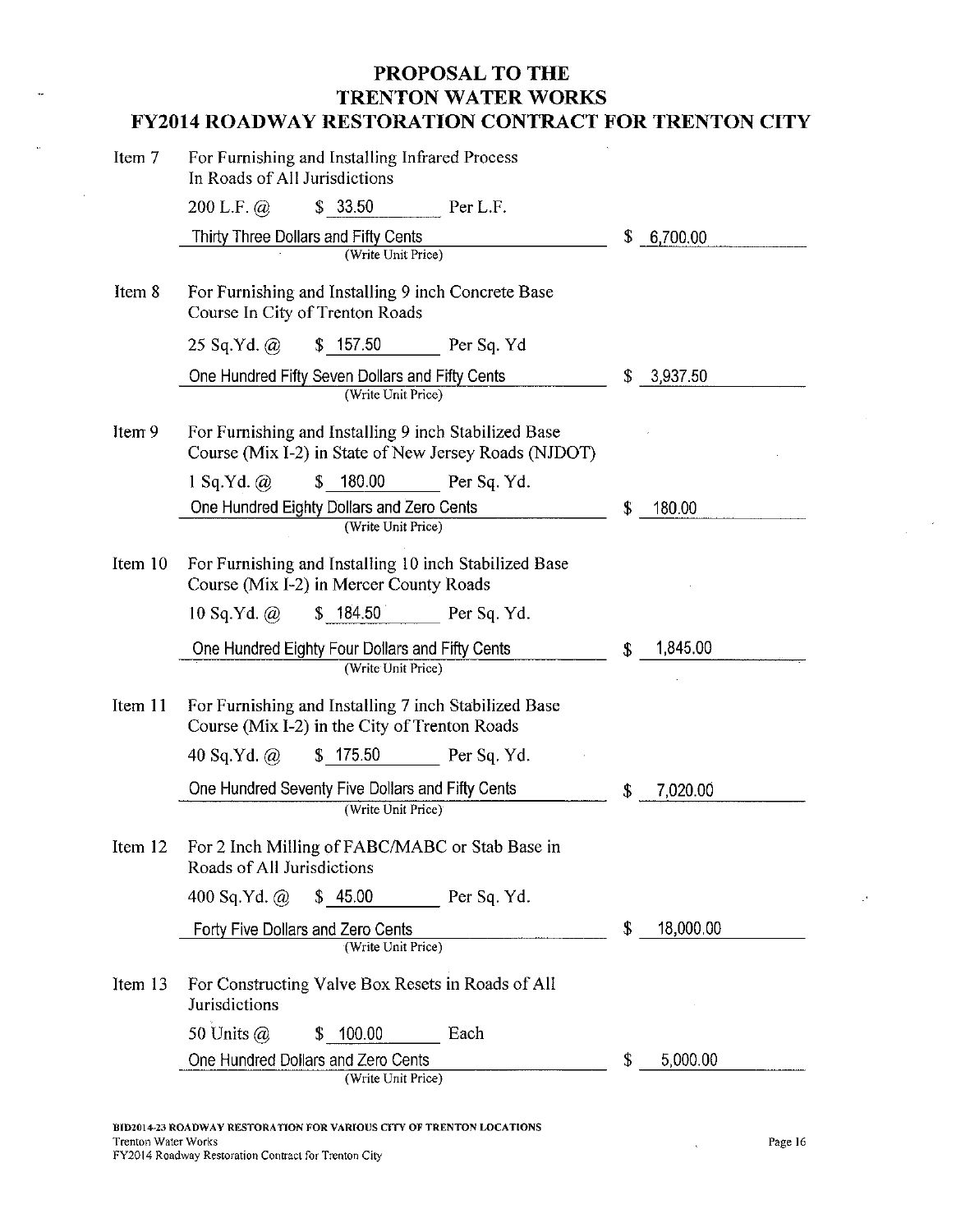$\mathcal{A}^{\pm}$ 

| Item 7  | For Furnishing and Installing Infrared Process<br>In Roads of All Jurisdictions                               |             |    |           |
|---------|---------------------------------------------------------------------------------------------------------------|-------------|----|-----------|
|         | \$33.50<br>200 L.F. $\omega$                                                                                  | Per L.F.    |    |           |
|         | Thirty Three Dollars and Fifty Cents                                                                          |             | \$ | 6,700.00  |
|         | (Write Unit Price)                                                                                            |             |    |           |
| Item 8  | For Furnishing and Installing 9 inch Concrete Base<br>Course In City of Trenton Roads                         |             |    |           |
|         | \$157.50<br>$25$ Sq.Yd. $\omega$                                                                              | Per Sq. Yd  |    |           |
|         | One Hundred Fifty Seven Dollars and Fifty Cents                                                               |             | \$ | 3,937.50  |
|         | (Write Unit Price)                                                                                            |             |    |           |
| Item 9  | For Furnishing and Installing 9 inch Stabilized Base<br>Course (Mix 1-2) in State of New Jersey Roads (NJDOT) |             |    |           |
|         | 180.00<br>$1$ Sq.Yd. $\omega$<br>\$                                                                           | Per Sq. Yd. |    |           |
|         | One Hundred Eighty Dollars and Zero Cents                                                                     |             | S  | 180.00    |
|         | (Write Unit Price)                                                                                            |             |    |           |
| Item 10 | For Furnishing and Installing 10 inch Stabilized Base<br>Course (Mix I-2) in Mercer County Roads              |             |    |           |
|         | \$184.50<br>$10$ Sq.Yd. $@$                                                                                   | Per Sq. Yd. |    |           |
|         | One Hundred Eighty Four Dollars and Fifty Cents                                                               |             | \$ | 1,845.00  |
|         | (Write Unit Price)                                                                                            |             |    |           |
| Item 11 | For Furnishing and Installing 7 inch Stabilized Base<br>Course (Mix I-2) in the City of Trenton Roads         |             |    |           |
|         | \$175.50<br>40 Sq.Yd. $\omega$                                                                                | Per Sq. Yd. |    |           |
|         | One Hundred Seventy Five Dollars and Fifty Cents                                                              |             | \$ | 7,020.00  |
|         | (Write Unit Price)                                                                                            |             |    |           |
|         | Item 12 For 2 Inch Milling of FABC/MABC or Stab Base in<br>Roads of All Jurisdictions                         |             |    |           |
|         | \$45.00<br>400 Sq.Yd. $@$                                                                                     | Per Sq. Yd. |    |           |
|         | Forty Five Dollars and Zero Cents                                                                             |             | \$ | 18,000.00 |
|         | (Write Unit Price)                                                                                            |             |    |           |
| Item 13 | For Constructing Valve Box Resets in Roads of All<br>Jurisdictions                                            |             |    |           |
|         | 50 Units $\omega$<br>\$ 100.00                                                                                | Each        |    |           |
|         | One Hundred Dollars and Zero Cents                                                                            |             | \$ | 5,000.00  |
|         | (Write Unit Price)                                                                                            |             |    |           |

 $\ddot{\phantom{a}}$ 

 $\mathcal{P}$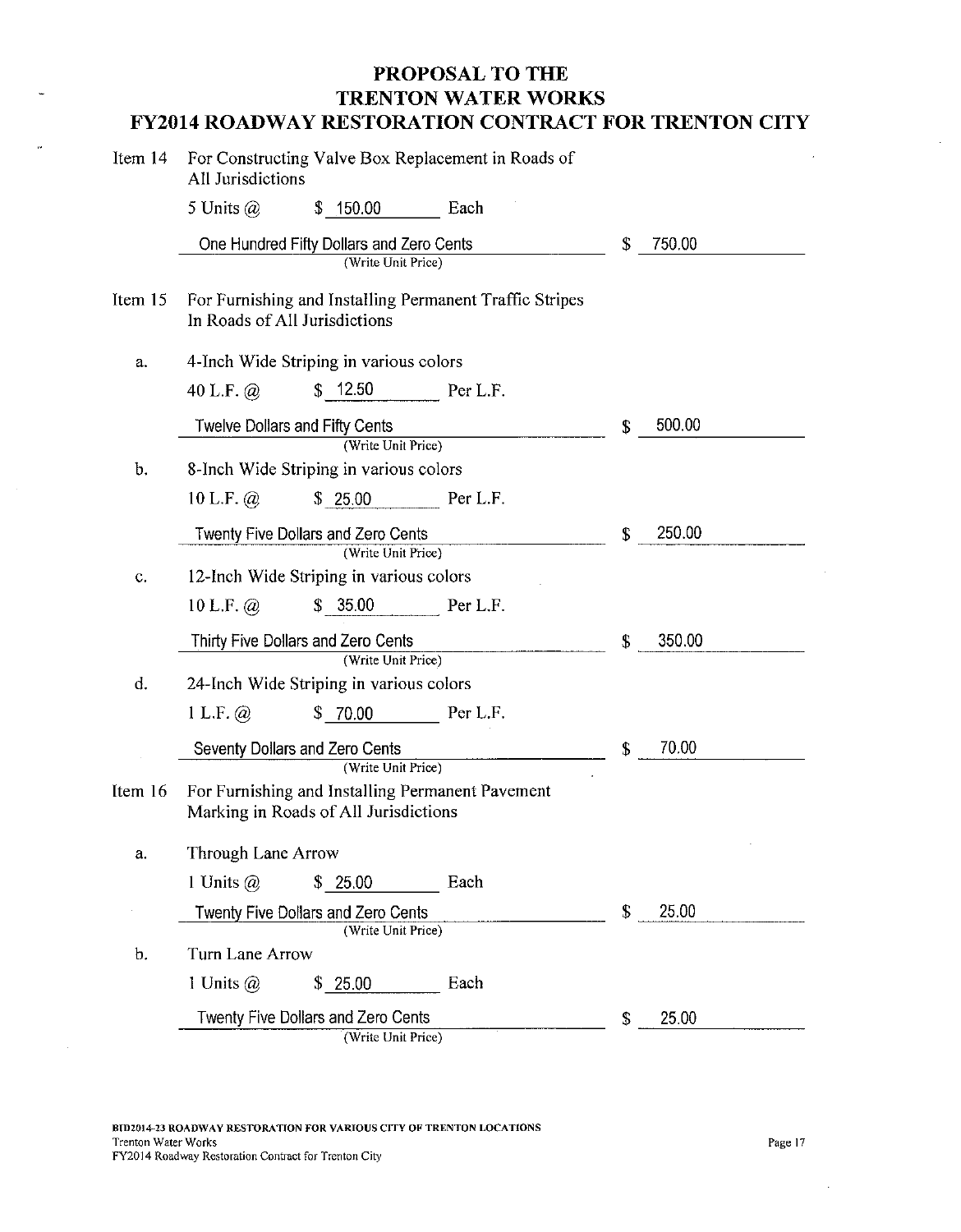| Item 14 | For Constructing Valve Box Replacement in Roads of<br>All Jurisdictions                   |    |        |  |
|---------|-------------------------------------------------------------------------------------------|----|--------|--|
|         | 5 Units $\omega$<br>\$150.00<br>Each                                                      |    |        |  |
|         | One Hundred Fifty Dollars and Zero Cents<br>(Write Unit Price)                            | \$ | 750.00 |  |
| Item 15 | For Furnishing and Installing Permanent Traffic Stripes<br>In Roads of All Jurisdictions  |    |        |  |
| a.      | 4-Inch Wide Striping in various colors                                                    |    |        |  |
|         | \$12.50<br>40 L.F. $\omega$<br>Per L.F.                                                   |    |        |  |
|         | <b>Twelve Dollars and Fifty Cents</b>                                                     | \$ | 500.00 |  |
| b.      | (Write Unit Price)<br>8-Inch Wide Striping in various colors                              |    |        |  |
|         | 10 L.F. $\omega$<br>\$25.00<br>Per L.F.                                                   |    |        |  |
|         | Twenty Five Dollars and Zero Cents                                                        | \$ | 250.00 |  |
|         | (Write Unit Price)                                                                        |    |        |  |
| C.      | 12-Inch Wide Striping in various colors                                                   |    |        |  |
|         | \$35.00<br>10 L.F. $@$<br>Per L.F.                                                        |    |        |  |
|         | Thirty Five Dollars and Zero Cents                                                        | \$ | 350.00 |  |
| d.      | (Write Unit Price)                                                                        |    |        |  |
|         | 24-Inch Wide Striping in various colors                                                   |    |        |  |
|         | 1 L.F. @<br>\$70.00<br>Per L.F.                                                           |    |        |  |
|         | Seventy Dollars and Zero Cents<br>(Write Unit Price)                                      | \$ | 70.00  |  |
| Item 16 | For Furnishing and Installing Permanent Pavement<br>Marking in Roads of All Jurisdictions |    |        |  |
| а.      | <b>Through Lane Arrow</b>                                                                 |    |        |  |
|         | 1 Units $(a)$<br>\$25.00<br>Each                                                          |    |        |  |
|         | <b>Twenty Five Dollars and Zero Cents</b>                                                 | \$ | 25.00  |  |
| b.      | (Write Unit Price)<br>Turn Lane Arrow                                                     |    |        |  |
|         | 1 Units $\omega$<br>Each<br>\$.<br>25.00                                                  |    |        |  |
|         | Twenty Five Dollars and Zero Cents                                                        | S  | 25.00  |  |
|         | (Write Unit Price)                                                                        |    |        |  |